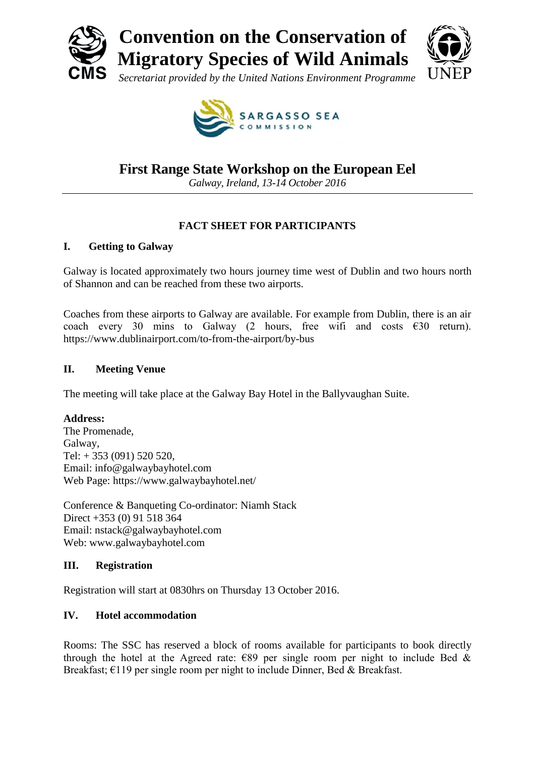



**SARGASSO SEA** 

# **First Range State Workshop on the European Eel**

*Galway, Ireland, 13-14 October 2016*

# **FACT SHEET FOR PARTICIPANTS**

## **I. Getting to Galway**

Galway is located approximately two hours journey time west of Dublin and two hours north of Shannon and can be reached from these two airports.

Coaches from these airports to Galway are available. For example from Dublin, there is an air coach every 30 mins to Galway (2 hours, free wifi and costs  $\epsilon$ 30 return). https://www.dublinairport.com/to-from-the-airport/by-bus

## **II. Meeting Venue**

The meeting will take place at the Galway Bay Hotel in the Ballyvaughan Suite.

# **Address:**

The Promenade, Galway, Tel: + 353 (091) 520 520, Email: info@galwaybayhotel.com Web Page: https://www.galwaybayhotel.net/

Conference & Banqueting Co-ordinator: Niamh Stack Direct +353 (0) 91 518 364 Email: nstack@galwaybayhotel.com Web: www.galwaybayhotel.com

### **III. Registration**

Registration will start at 0830hrs on Thursday 13 October 2016.

# **IV. Hotel accommodation**

Rooms: The SSC has reserved a block of rooms available for participants to book directly through the hotel at the Agreed rate:  $\epsilon$ 89 per single room per night to include Bed & Breakfast; €119 per single room per night to include Dinner, Bed & Breakfast.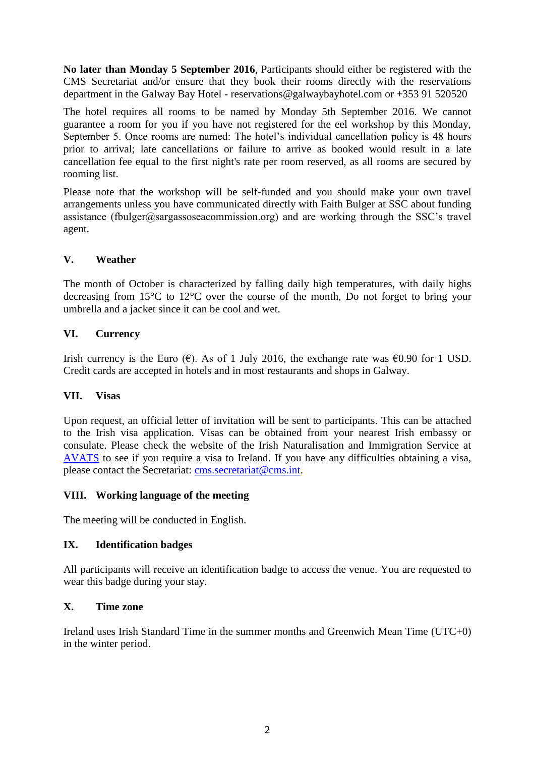**No later than Monday 5 September 2016**, Participants should either be registered with the CMS Secretariat and/or ensure that they book their rooms directly with the reservations department in the Galway Bay Hotel - reservations@galwaybayhotel.com or +353 91 520520

The hotel requires all rooms to be named by Monday 5th September 2016. We cannot guarantee a room for you if you have not registered for the eel workshop by this Monday, September 5. Once rooms are named: The hotel's individual cancellation policy is 48 hours prior to arrival; late cancellations or failure to arrive as booked would result in a late cancellation fee equal to the first night's rate per room reserved, as all rooms are secured by rooming list.

Please note that the workshop will be self-funded and you should make your own travel arrangements unless you have communicated directly with Faith Bulger at SSC about funding assistance (fbulger@sargassoseacommission.org) and are working through the SSC's travel agent.

## **V. Weather**

The month of October is characterized by falling daily high temperatures, with daily highs decreasing from 15°C to 12°C over the course of the month, Do not forget to bring your umbrella and a jacket since it can be cool and wet.

### **VI. Currency**

Irish currency is the Euro ( $\epsilon$ ). As of 1 July 2016, the exchange rate was  $\epsilon$ 0.90 for 1 USD. Credit cards are accepted in hotels and in most restaurants and shops in Galway.

### **VII. Visas**

Upon request, an official letter of invitation will be sent to participants. This can be attached to the Irish visa application. Visas can be obtained from your nearest Irish embassy or consulate. Please check the website of the Irish Naturalisation and Immigration Service at [AVATS](https://www.visas.inis.gov.ie/avats/OnlineHome.aspx) to see if you require a visa to Ireland. If you have any difficulties obtaining a visa, please contact the Secretariat: [cms.secretariat@cms.int.](mailto:cms.secretariat@cms.int)

### **VIII. Working language of the meeting**

The meeting will be conducted in English.

### **IX. Identification badges**

All participants will receive an identification badge to access the venue. You are requested to wear this badge during your stay.

#### **X. Time zone**

Ireland uses Irish Standard Time in the summer months and Greenwich Mean Time (UTC+0) in the winter period.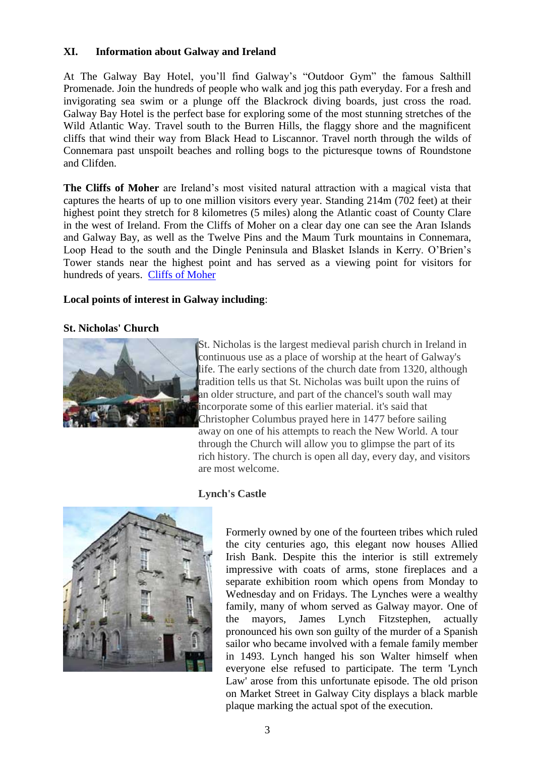### **XI. Information about Galway and Ireland**

At The Galway Bay Hotel, you'll find Galway's "Outdoor Gym" the famous Salthill Promenade. Join the hundreds of people who walk and jog this path everyday. For a fresh and invigorating sea swim or a plunge off the Blackrock diving boards, just cross the road. Galway Bay Hotel is the perfect base for exploring some of the most stunning stretches of the Wild Atlantic Way. Travel south to the Burren Hills, the flaggy shore and the magnificent cliffs that wind their way from Black Head to Liscannor. Travel north through the wilds of Connemara past unspoilt beaches and rolling bogs to the picturesque towns of Roundstone and Clifden.

**The Cliffs of Moher** are Ireland's most visited natural attraction with a magical vista that captures the hearts of up to one million visitors every year. Standing 214m (702 feet) at their highest point they stretch for 8 kilometres (5 miles) along the Atlantic coast of County Clare in the west of Ireland. From the Cliffs of Moher on a clear day one can see the Aran Islands and Galway Bay, as well as the Twelve Pins and the Maum Turk mountains in Connemara, Loop Head to the south and the Dingle Peninsula and Blasket Islands in Kerry. O'Brien's Tower stands near the highest point and has served as a viewing point for visitors for hundreds of years. [Cliffs of Moher](http://www.cliffsofmoher.ie/)

### **Local points of interest in Galway including**:

#### **St. Nicholas' Church**



St. Nicholas is the largest medieval parish church in Ireland in continuous use as a place of worship at the heart of Galway's life. The early sections of the church date from 1320, although tradition tells us that St. Nicholas was built upon the ruins of an older structure, and part of the chancel's south wall may incorporate some of this earlier material. it's said that Christopher Columbus prayed here in 1477 before sailing away on one of his attempts to reach the New World. A tour through the Church will allow you to glimpse the part of its rich history. The church is open all day, every day, and visitors are most welcome.



### **Lynch's Castle**

Formerly owned by one of the fourteen tribes which ruled the city centuries ago, this elegant now houses Allied Irish Bank. Despite this the interior is still extremely impressive with coats of arms, stone fireplaces and a separate exhibition room which opens from Monday to Wednesday and on Fridays. The Lynches were a wealthy family, many of whom served as Galway mayor. One of the mayors, James Lynch Fitzstephen, actually pronounced his own son guilty of the murder of a Spanish sailor who became involved with a female family member in 1493. Lynch hanged his son Walter himself when everyone else refused to participate. The term 'Lynch Law' arose from this unfortunate episode. The old prison on Market Street in Galway City displays a black marble plaque marking the actual spot of the execution.